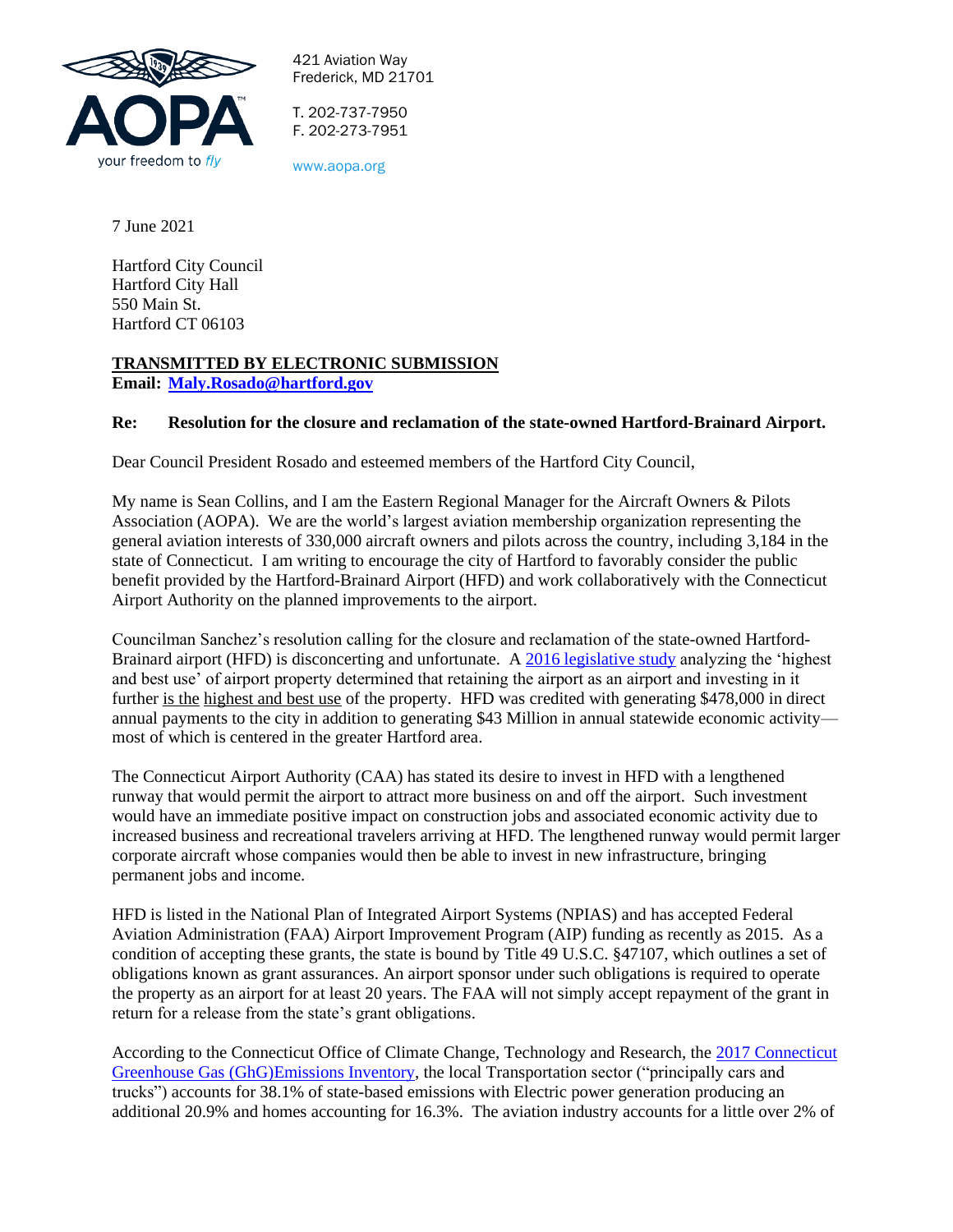

421 Aviation Way Frederick, MD 21701

T. 202-737-7950 F. 202-273-7951

www.aopa.org

7 June 2021

Hartford City Council Hartford City Hall 550 Main St. Hartford CT 06103

## **TRANSMITTED BY ELECTRONIC SUBMISSION**

**Email: [Maly.Rosado@hartford.gov](mailto:Maly.Rosado@hartford.gov)**

## **Re: Resolution for the closure and reclamation of the state-owned Hartford-Brainard Airport.**

Dear Council President Rosado and esteemed members of the Hartford City Council,

My name is Sean Collins, and I am the Eastern Regional Manager for the Aircraft Owners & Pilots Association (AOPA). We are the world's largest aviation membership organization representing the general aviation interests of 330,000 aircraft owners and pilots across the country, including 3,184 in the state of Connecticut. I am writing to encourage the city of Hartford to favorably consider the public benefit provided by the Hartford-Brainard Airport (HFD) and work collaboratively with the Connecticut Airport Authority on the planned improvements to the airport.

Councilman Sanchez's resolution calling for the closure and reclamation of the state-owned HartfordBrainard airport (HFD) is disconcerting and unfortunate. A 2016 [legislative study](https://www.cga.ct.gov/pri/docs/2016/Full%20Report%20Brainard%20Site%20Use%20-%20Staff%20Report%20to%20Committee%20-%2011.30.16%20nf.pdf) analyzing the 'highest and best use' of airport property determined that retaining the airport as an airport and investing in it further is the highest and best use of the property. HFD was credited with generating \$478,000 in direct annual payments to the city in addition to generating \$43 Million in annual statewide economic activity most of which is centered in the greater Hartford area.

The Connecticut Airport Authority (CAA) has stated its desire to invest in HFD with a lengthened runway that would permit the airport to attract more business on and off the airport. Such investment would have an immediate positive impact on construction jobs and associated economic activity due to increased business and recreational travelers arriving at HFD. The lengthened runway would permit larger corporate aircraft whose companies would then be able to invest in new infrastructure, bringing permanent jobs and income.

HFD is listed in the National Plan of Integrated Airport Systems (NPIAS) and has accepted Federal Aviation Administration (FAA) Airport Improvement Program (AIP) funding as recently as 2015. As a condition of accepting these grants, the state is bound by Title 49 U.S.C. §47107, which outlines a set of obligations known as grant assurances. An airport sponsor under such obligations is required to operate the property as an airport for at least 20 years. The FAA will not simply accept repayment of the grant in return for a release from the state's grant obligations.

According to the Connecticut Office of Climate Change, Technology and Research, the [2017 Connecticut](https://portal.ct.gov/-/media/DEEP/climatechange/2017_GHG_Inventory/2017_GHG_Inventory.pdf)  [Greenhouse Gas \(GhG\)Emissions Inventory,](https://portal.ct.gov/-/media/DEEP/climatechange/2017_GHG_Inventory/2017_GHG_Inventory.pdf) the local Transportation sector ("principally cars and trucks") accounts for 38.1% of state-based emissions with Electric power generation producing an additional 20.9% and homes accounting for 16.3%. The aviation industry accounts for a little over 2% of